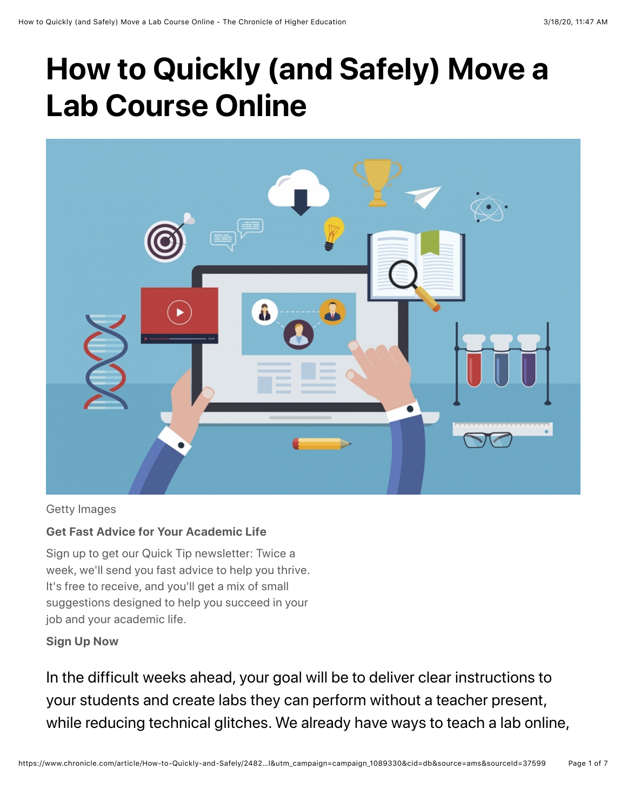# **How to Quickly (and Safely) Move a Lab Course Online**



#### Getty Images

#### **Get Fast Advice for Your Academic Life**

 It's free to receive, and you'll get a mix of small Sign up to get our Quick Tip newsletter: Twice a week, we'll send you fast advice to help you thrive. suggestions designed to help you succeed in your job and your academic life.

#### **Sign Up Now**

 your students and create labs they can perform without a teacher present, In the difficult weeks ahead, your goal will be to deliver clear instructions to while reducing technical glitches. We already have ways to teach a lab online,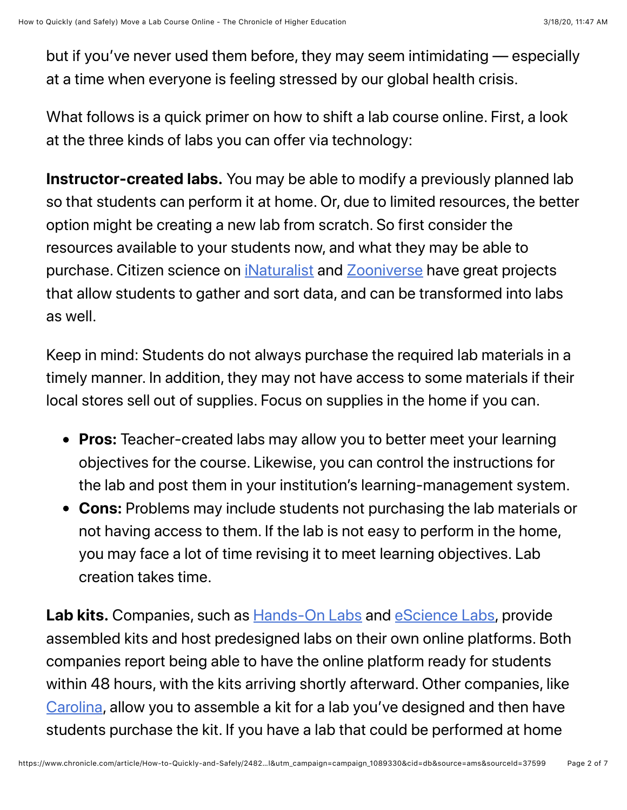but if you've never used them before, they may seem intimidating — especially at a time when everyone is feeling stressed by our global health crisis.

What follows is a quick primer on how to shift a lab course online. First, a look at the three kinds of labs you can offer via technology:

 resources available to your students now, and what they may be able to **Instructor-created labs.** You may be able to modify a previously planned lab so that students can perform it at home. Or, due to limited resources, the better option might be creating a new lab from scratch. So first consider the purchase. Citizen science on *iNaturalist* and **[Zooniverse](https://www.zooniverse.org/)** have great projects that allow students to gather and sort data, and can be transformed into labs as well.

 Keep in mind: Students do not always purchase the required lab materials in a timely manner. In addition, they may not have access to some materials if their local stores sell out of supplies. Focus on supplies in the home if you can.

- **Pros:** Teacher-created labs may allow you to better meet your learning objectives for the course. Likewise, you can control the instructions for the lab and post them in your institution's learning-management system.
- you may face a lot of time revising it to meet learning objectives. Lab **Cons:** Problems may include students not purchasing the lab materials or not having access to them. If the lab is not easy to perform in the home, creation takes time.

[Carolina](https://www.carolina.com/distance-learning-science-kits-solutions/21105.ct), allow you to assemble a kit for a lab you've designed and then have Lab kits. Companies, such as **Hands-On Labs and [eScience Labs](https://esciencelabs.com/)**, provide assembled kits and host predesigned labs on their own online platforms. Both companies report being able to have the online platform ready for students within 48 hours, with the kits arriving shortly afterward. Other companies, like students purchase the kit. If you have a lab that could be performed at home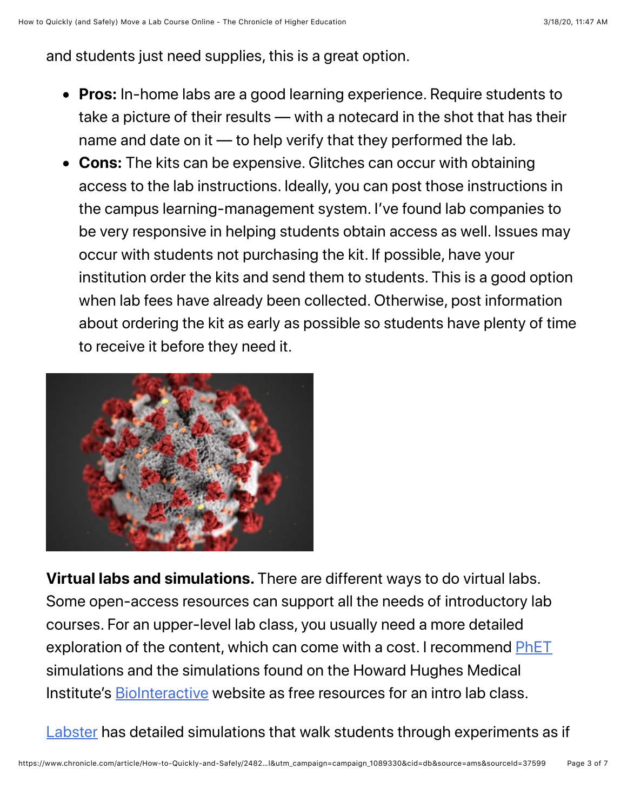and students just need supplies, this is a great option.

- take a picture of their results with a notecard in the shot that has their **Pros:** In-home labs are a good learning experience. Require students to name and date on it — to help verify that they performed the lab.
- to receive it before they need it. **Cons:** The kits can be expensive. Glitches can occur with obtaining access to the lab instructions. Ideally, you can post those instructions in the campus learning-management system. I've found lab companies to be very responsive in helping students obtain access as well. Issues may occur with students not purchasing the kit. If possible, have your institution order the kits and send them to students. This is a good option when lab fees have already been collected. Otherwise, post information about ordering the kit as early as possible so students have plenty of time



 courses. For an upper-level lab class, you usually need a more detailed exploration of the content, which can come with a cost. I recommend [PhET](https://phet.colorado.edu/) **Virtual labs and simulations.** There are different ways to do virtual labs. Some open-access resources can support all the needs of introductory lab simulations and the simulations found on the Howard Hughes Medical Institute's [BioInteractive](https://www.biointeractive.org/classroom-resources) website as free resources for an intro lab class.

[Labster](https://www.labster.com/) has detailed simulations that walk students through experiments as if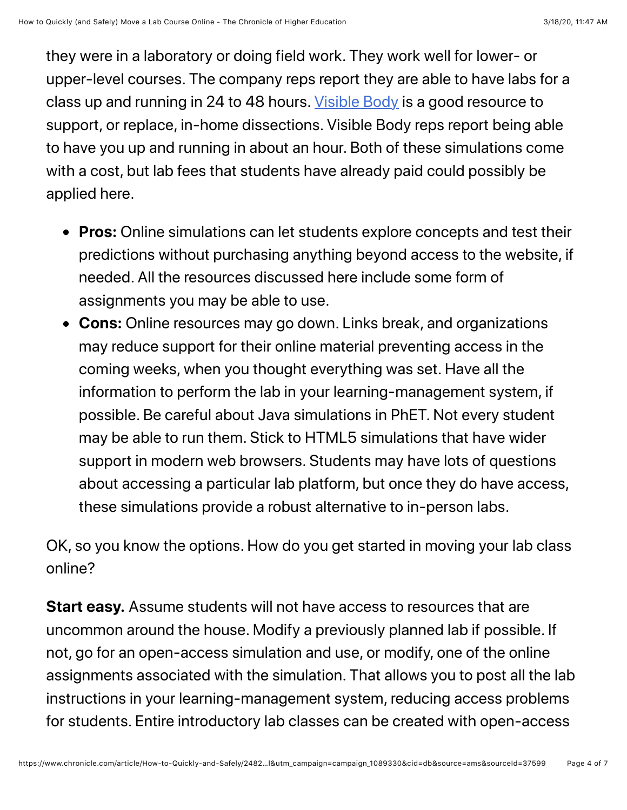to have you up and running in about an hour. Both of these simulations come they were in a laboratory or doing field work. They work well for lower- or upper-level courses. The company reps report they are able to have labs for a class up and running in 24 to 48 hours. [Visible Body](https://www.visiblebody.com/en-us/) is a good resource to support, or replace, in-home dissections. Visible Body reps report being able with a cost, but lab fees that students have already paid could possibly be applied here.

- **Pros:** Online simulations can let students explore concepts and test their predictions without purchasing anything beyond access to the website, if needed. All the resources discussed here include some form of assignments you may be able to use.
- coming weeks, when you thought everything was set. Have all the **Cons:** Online resources may go down. Links break, and organizations may reduce support for their online material preventing access in the information to perform the lab in your learning-management system, if possible. Be careful about Java simulations in PhET. Not every student may be able to run them. Stick to HTML5 simulations that have wider support in modern web browsers. Students may have lots of questions about accessing a particular lab platform, but once they do have access, these simulations provide a robust alternative to in-person labs.

OK, so you know the options. How do you get started in moving your lab class online?

 for students. Entire introductory lab classes can be created with open-access **Start easy.** Assume students will not have access to resources that are uncommon around the house. Modify a previously planned lab if possible. If not, go for an open-access simulation and use, or modify, one of the online assignments associated with the simulation. That allows you to post all the lab instructions in your learning-management system, reducing access problems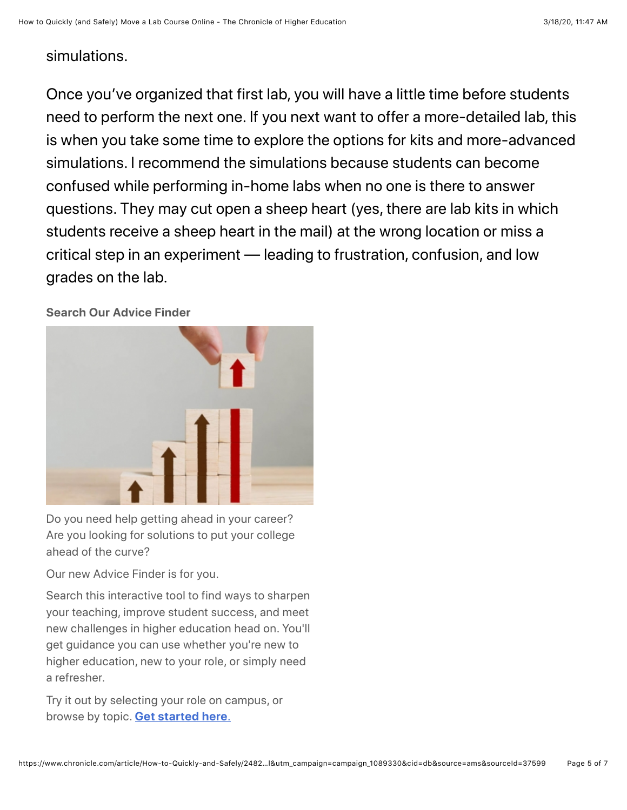### simulations.

Once you've organized that first lab, you will have a little time before students need to perform the next one. If you next want to offer a more-detailed lab, this is when you take some time to explore the options for kits and more-advanced simulations. I recommend the simulations because students can become confused while performing in-home labs when no one is there to answer questions. They may cut open a sheep heart (yes, there are lab kits in which students receive a sheep heart in the mail) at the wrong location or miss a critical step in an experiment — leading to frustration, confusion, and low grades on the lab.

**Search Our Advice Finder** 



Do you need help getting ahead in your career? Are you looking for solutions to put your college ahead of the curve?

Our new Advice Finder is for you.

 your teaching, improve student success, and meet Search this interactive tool to find ways to sharpen new challenges in higher education head on. You'll get guidance you can use whether you're new to higher education, new to your role, or simply need a refresher.

 Try it out by selecting your role on campus, or browse by topic. **[Get started here](https://www.chronicle.com/interactives/advice-finder#id=top_top)**.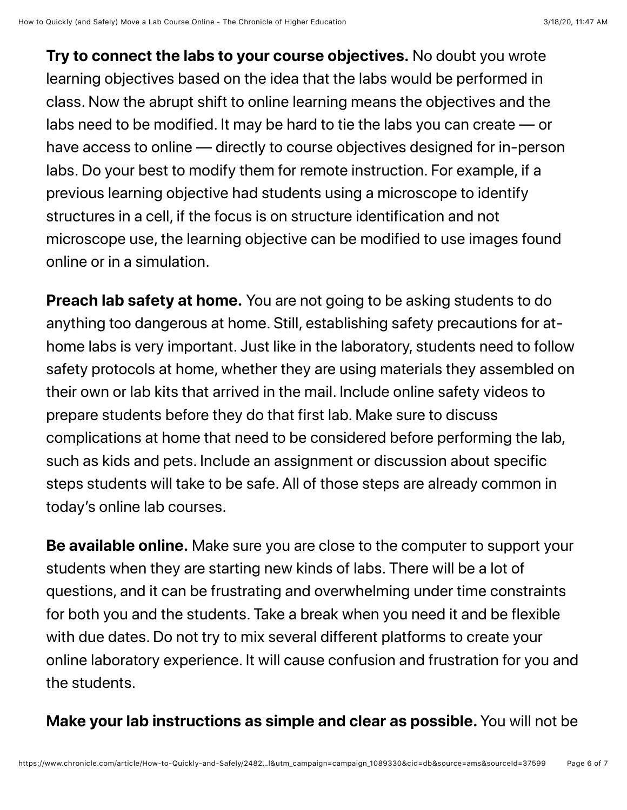**Try to connect the labs to your course objectives.** No doubt you wrote learning objectives based on the idea that the labs would be performed in class. Now the abrupt shift to online learning means the objectives and the labs need to be modified. It may be hard to tie the labs you can create — or have access to online — directly to course objectives designed for in-person labs. Do your best to modify them for remote instruction. For example, if a previous learning objective had students using a microscope to identify structures in a cell, if the focus is on structure identification and not microscope use, the learning objective can be modified to use images found online or in a simulation.

 today's online lab courses. **Preach lab safety at home.** You are not going to be asking students to do anything too dangerous at home. Still, establishing safety precautions for athome labs is very important. Just like in the laboratory, students need to follow safety protocols at home, whether they are using materials they assembled on their own or lab kits that arrived in the mail. Include online safety videos to prepare students before they do that first lab. Make sure to discuss complications at home that need to be considered before performing the lab, such as kids and pets. Include an assignment or discussion about specific steps students will take to be safe. All of those steps are already common in

 for both you and the students. Take a break when you need it and be flexible **Be available online.** Make sure you are close to the computer to support your students when they are starting new kinds of labs. There will be a lot of questions, and it can be frustrating and overwhelming under time constraints with due dates. Do not try to mix several different platforms to create your online laboratory experience. It will cause confusion and frustration for you and the students.

## **Make your lab instructions as simple and clear as possible.** You will not be